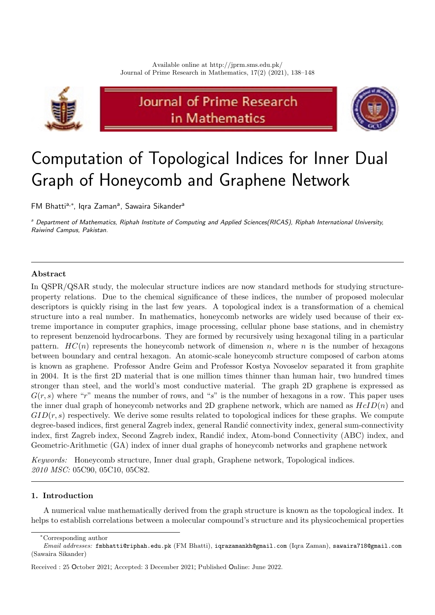

# Journal of Prime Research in Mathematics



# Computation of Topological Indices for Inner Dual Graph of Honeycomb and Graphene Network

FM Bhatti<sup>a,\*</sup>, Iqra Zaman<sup>a</sup>, Sawaira Sikander<sup>a</sup>

<sup>a</sup> Department of Mathematics, Riphah Institute of Computing and Applied Sciences(RICAS), Riphah International University, Raiwind Campus, Pakistan.

## Abstract

In QSPR/QSAR study, the molecular structure indices are now standard methods for studying structureproperty relations. Due to the chemical significance of these indices, the number of proposed molecular descriptors is quickly rising in the last few years. A topological index is a transformation of a chemical structure into a real number. In mathematics, honeycomb networks are widely used because of their extreme importance in computer graphics, image processing, cellular phone base stations, and in chemistry to represent benzenoid hydrocarbons. They are formed by recursively using hexagonal tiling in a particular pattern.  $HC(n)$  represents the honeycomb network of dimension n, where n is the number of hexagons between boundary and central hexagon. An atomic-scale honeycomb structure composed of carbon atoms is known as graphene. Professor Andre Geim and Professor Kostya Novoselov separated it from graphite in 2004. It is the first 2D material that is one million times thinner than human hair, two hundred times stronger than steel, and the world's most conductive material. The graph 2D graphene is expressed as  $G(r, s)$  where "r" means the number of rows, and "s" is the number of hexagons in a row. This paper uses the inner dual graph of honeycomb networks and 2D graphene network, which are named as  $HcID(n)$  and  $GID(r, s)$  respectively. We derive some results related to topological indices for these graphs. We compute degree-based indices, first general Zagreb index, general Randić connectivity index, general sum-connectivity index, first Zagreb index, Second Zagreb index, Randić index, Atom-bond Connectivity (ABC) index, and Geometric-Arithmetic (GA) index of inner dual graphs of honeycomb networks and graphene network

Keywords: Honeycomb structure, Inner dual graph, Graphene network, Topological indices. 2010 MSC: 05C90, 05C10, 05C82.

### 1. Introduction

A numerical value mathematically derived from the graph structure is known as the topological index. It helps to establish correlations between a molecular compound's structure and its physicochemical properties

<sup>∗</sup>Corresponding author

Email addresses: fmbhatti@riphah.edu.pk (FM Bhatti), iqrazamankh@gmail.com (Iqra Zaman), sawaira718@gmail.com (Sawaira Sikander)

Received : 25 October 2021; Accepted: 3 December 2021; Published Online: June 2022.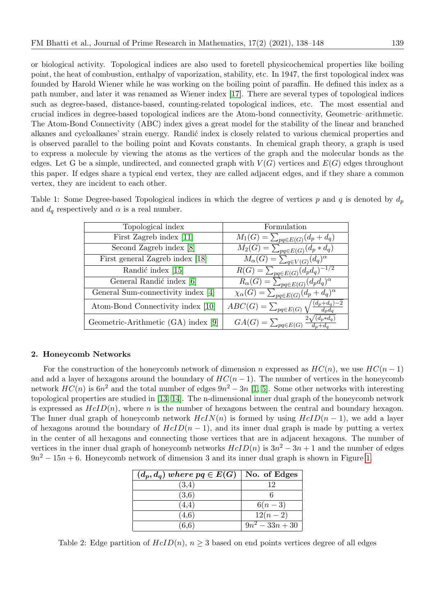or biological activity. Topological indices are also used to foretell physicochemical properties like boiling point, the heat of combustion, enthalpy of vaporization, stability, etc. In 1947, the first topological index was founded by Harold Wiener while he was working on the boiling point of paraffin. He defined this index as a path number, and later it was renamed as Wiener index [\[17\]](#page-10-0). There are several types of topological indices such as degree-based, distance-based, counting-related topological indices, etc. The most essential and crucial indices in degree-based topological indices are the Atom-bond connectivity, Geometric–arithmetic. The Atom-Bond Connectivity (ABC) index gives a great model for the stability of the linear and branched alkanes and cycloalkanes' strain energy. Randić index is closely related to various chemical properties and is observed parallel to the boiling point and Kovats constants. In chemical graph theory, a graph is used to express a molecule by viewing the atoms as the vertices of the graph and the molecular bonds as the edges. Let G be a simple, undirected, and connected graph with  $V(G)$  vertices and  $E(G)$  edges throughout this paper. If edges share a typical end vertex, they are called adjacent edges, and if they share a common vertex, they are incident to each other.

| Topological index                   | Formulation                                                   |
|-------------------------------------|---------------------------------------------------------------|
| First Zagreb index [11]             | $M_1(G) = \sum_{pq \in E(G)} (d_p + d_q)$                     |
| Second Zagreb index [8]             | $M_2(G) = \sum_{pq \in E(G)} (d_p * d_q)$                     |
| First general Zagreb index [18]     | $\overline{M}_{\alpha}(G) = \sum_{q \in V(G)} (d_q)^{\alpha}$ |
| Randić index [15]                   | $\underline{R(G)} = \sum_{pq \in E(G)} (d_p d_q)^{-1/2}$      |
| General Randić index [6]            | $R_{\alpha}(G) = \sum_{pq \in E(G)} (d_p d_q)^{\alpha}$       |
| General Sum-connectivity index [4]  | $\chi_{\alpha}(G) = \sum_{pq \in E(G)} (d_p + d_q)^{\alpha}$  |
| Atom-Bond Connectivity index [10]   | $(d_p + d_q) - 2$<br>$ABC(G) = \sum_{pq \in E(G)}$            |
| Geometric-Arithmetic (GA) index [9] | $(d_n * d_q)$<br>$GA(G) = \sum_{pq \in E(G)}$                 |

<span id="page-1-0"></span>Table 1: Some Degree-based Topological indices in which the degree of vertices p and q is denoted by  $d_p$ and  $d_q$  respectively and  $\alpha$  is a real number.

#### 2. Honeycomb Networks

For the construction of the honeycomb network of dimension n expressed as  $HC(n)$ , we use  $HC(n-1)$ and add a layer of hexagons around the boundary of  $HC(n-1)$ . The number of vertices in the honeycomb network  $HC(n)$  is  $6n^2$  and the total number of edges  $9n^2 - 3n$  [\[1,](#page-9-3) [5\]](#page-9-4). Some other networks with interesting topological properties are studied in [\[13,](#page-10-6) [14\]](#page-10-7). The n-dimensional inner dual graph of the honeycomb network is expressed as  $HcID(n)$ , where n is the number of hexagons between the central and boundary hexagon. The Inner dual graph of honeycomb network  $HcIN(n)$  is formed by using  $HcID(n-1)$ , we add a layer of hexagons around the boundary of  $HcID(n-1)$ , and its inner dual graph is made by putting a vertex in the center of all hexagons and connecting those vertices that are in adjacent hexagons. The number of vertices in the inner dual graph of honeycomb networks  $HcID(n)$  is  $3n^2 - 3n + 1$  and the number of edges  $9n^2 - 15n + 6$ . Honeycomb network of dimension 3 and its inner dual graph is shown in Figure [1.](#page-2-0)

| $(d_p, d_q)$ where $pq \in E(G)$ | No. of Edges  |
|----------------------------------|---------------|
| (3,4)                            | 19            |
| (3,6)                            |               |
| (4,4)                            | $6(n-3)$      |
| (4.6)                            | $12(n-2)$     |
| (6, 6)                           | $9n^2-33n+30$ |

<span id="page-1-1"></span>Table 2: Edge partition of  $HcID(n)$ ,  $n \geq 3$  based on end points vertices degree of all edges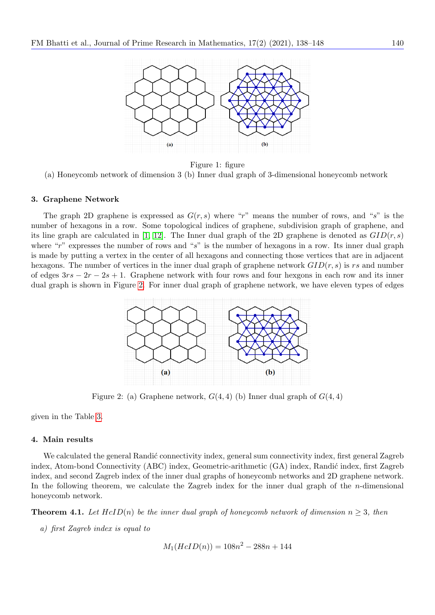<span id="page-2-0"></span>

Figure 1: figure (a) Honeycomb network of dimension 3 (b) Inner dual graph of 3-dimensional honeycomb network

#### 3. Graphene Network

<span id="page-2-1"></span>The graph 2D graphene is expressed as  $G(r, s)$  where "r" means the number of rows, and "s" is the number of hexagons in a row. Some topological indices of graphene, subdivision graph of graphene, and its line graph are calculated in [\[1,](#page-9-3) [12\]](#page-10-8). The Inner dual graph of the 2D graphene is denoted as  $GID(r, s)$ where " $r$ " expresses the number of rows and " $s$ " is the number of hexagons in a row. Its inner dual graph is made by putting a vertex in the center of all hexagons and connecting those vertices that are in adjacent hexagons. The number of vertices in the inner dual graph of graphene network  $GID(r, s)$  is rs and number of edges  $3rs - 2r - 2s + 1$ . Graphene network with four rows and four hexgons in each row and its inner dual graph is shown in Figure [2.](#page-2-1) For inner dual graph of graphene network, we have eleven types of edges



Figure 2: (a) Graphene network,  $G(4,4)$  (b) Inner dual graph of  $G(4,4)$ 

given in the Table [3.](#page-3-0)

#### 4. Main results

We calculated the general Randić connectivity index, general sum connectivity index, first general Zagreb index, Atom-bond Connectivity (ABC) index, Geometric-arithmetic (GA) index, Randić index, first Zagreb index, and second Zagreb index of the inner dual graphs of honeycomb networks and 2D graphene network. In the following theorem, we calculate the Zagreb index for the inner dual graph of the *n*-dimensional honeycomb network.

**Theorem 4.1.** Let  $HcID(n)$  be the inner dual graph of honeycomb network of dimension  $n \geq 3$ , then

a) first Zagreb index is equal to

$$
M_1(HcID(n)) = 108n^2 - 288n + 144
$$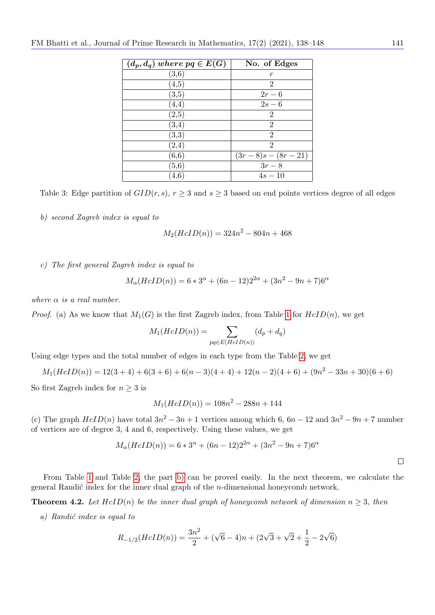<span id="page-3-0"></span>

| $(d_p, d_q)$ where $pq \in E(G)$ | No. of Edges      |
|----------------------------------|-------------------|
| (3,6)                            | r                 |
| (4, 5)                           | 2                 |
| (3, 5)                           | $2r-6$            |
| (4,4)                            | $2s-6$            |
| $\left( 2,5\right)$              | 2                 |
| $\left( 3,4\right)$              | $\overline{2}$    |
| (3,3)                            | $\overline{2}$    |
| $^{(2,4)}$                       | $\overline{2}$    |
| (6, 6)                           | $(3r-8)s-(8r-21)$ |
| (5, 6)                           | $3r-8$            |
| 4,6                              | $4s - 10$         |

Table 3: Edge partition of  $GID(r, s)$ ,  $r \geq 3$  and  $s \geq 3$  based on end points vertices degree of all edges

<span id="page-3-1"></span>b) second Zagreb index is equal to

$$
M_2(HcID(n)) = 324n^2 - 804n + 468
$$

c) The first general Zagreb index is equal to

$$
M_{\alpha}(HcID(n)) = 6 * 3^{\alpha} + (6n - 12)2^{2\alpha} + (3n^2 - 9n + 7)6^{\alpha}
$$

where  $\alpha$  is a real number.

*Proof.* (a) As we know that  $M_1(G)$  is the first Zagreb index, from Table [1](#page-1-0) for  $HcID(n)$ , we get

$$
M_1(HcID(n)) = \sum_{pq \in E(HcID(n))} (d_p + d_q)
$$

Using edge types and the total number of edges in each type from the Table [2,](#page-1-1) we get

$$
M_1(HcID(n)) = 12(3+4) + 6(3+6) + 6(n-3)(4+4) + 12(n-2)(4+6) + (9n^2 - 33n + 30)(6+6)
$$

So first Zagreb index for  $n \geq 3$  is

$$
M_1(HcID(n)) = 108n^2 - 288n + 144
$$

(c) The graph  $HcID(n)$  have total  $3n^2 - 3n + 1$  vertices among which 6,  $6n - 12$  and  $3n^2 - 9n + 7$  number of vertices are of degree 3, 4 and 6, respectively. Using these values, we get

$$
M_{\alpha}(HcID(n)) = 6 * 3^{\alpha} + (6n - 12)2^{2\alpha} + (3n^2 - 9n + 7)6^{\alpha}
$$

 $\Box$ 

From Table [1](#page-1-0) and Table [2,](#page-1-1) the part [b\)](#page-3-1) can be proved easily. In the next theorem, we calculate the general Randić index for the inner dual graph of the *n*-dimensional honeycomb network.

<span id="page-3-2"></span>**Theorem 4.2.** Let  $HcID(n)$  be the inner dual graph of honeycomb network of dimension  $n \geq 3$ , then

 $a)$  Randić index is equal to

$$
R_{-1/2}(HcID(n)) = \frac{3n^2}{2} + (\sqrt{6} - 4)n + (2\sqrt{3} + \sqrt{2} + \frac{1}{2} - 2\sqrt{6})
$$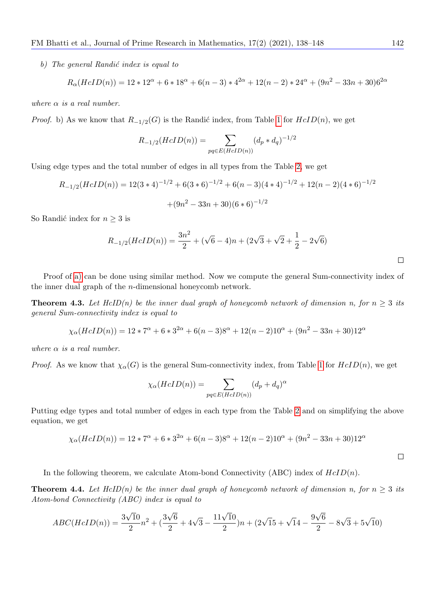b) The general Randić index is equal to

$$
R_{\alpha}(HcID(n)) = 12 \times 12^{\alpha} + 6 \times 18^{\alpha} + 6(n-3) \times 4^{2\alpha} + 12(n-2) \times 24^{\alpha} + (9n^2 - 33n + 30)6^{2\alpha}
$$

where  $\alpha$  is a real number.

*Proof.* b) As we know that  $R_{-1/2}(G)$  is the Randic index, from Table [1](#page-1-0) for  $HcID(n)$ , we get

$$
R_{-1/2}(HcID(n)) = \sum_{pq \in E(HcID(n))} (d_p * d_q)^{-1/2}
$$

Using edge types and the total number of edges in all types from the Table [2,](#page-1-1) we get

$$
R_{-1/2}(HcID(n)) = 12(3*4)^{-1/2} + 6(3*6)^{-1/2} + 6(n-3)(4*4)^{-1/2} + 12(n-2)(4*6)^{-1/2} + (9n^2 - 33n + 30)(6*6)^{-1/2}
$$

So Randić index for  $n \geq 3$  is

$$
R_{-1/2}(HcID(n)) = \frac{3n^2}{2} + (\sqrt{6} - 4)n + (2\sqrt{3} + \sqrt{2} + \frac{1}{2} - 2\sqrt{6})
$$

Proof of [a\)](#page-3-2) can be done using similar method. Now we compute the general Sum-connectivity index of the inner dual graph of the n-dimensional honeycomb network.

**Theorem 4.3.** Let  $HcID(n)$  be the inner dual graph of honeycomb network of dimension n, for  $n \geq 3$  its general Sum-connectivity index is equal to

$$
\chi_{\alpha}(HcID(n)) = 12 \times 7^{\alpha} + 6 \times 3^{2\alpha} + 6(n-3)8^{\alpha} + 12(n-2)10^{\alpha} + (9n^2 - 33n + 30)12^{\alpha}
$$

where  $\alpha$  is a real number.

*Proof.* As we know that  $\chi_{\alpha}(G)$  is the general Sum-connectivity index, from Table [1](#page-1-0) for  $HcID(n)$ , we get

$$
\chi_{\alpha}(HcID(n)) = \sum_{pq \in E(HcID(n))} (d_p + d_q)^{\alpha}
$$

Putting edge types and total number of edges in each type from the Table [2](#page-1-1) and on simplifying the above equation, we get

$$
\chi_{\alpha}(HcID(n)) = 12 * 7^{\alpha} + 6 * 3^{2\alpha} + 6(n-3)8^{\alpha} + 12(n-2)10^{\alpha} + (9n^2 - 33n + 30)12^{\alpha}
$$

In the following theorem, we calculate Atom-bond Connectivity (ABC) index of  $HcID(n)$ .

**Theorem 4.4.** Let  $HcID(n)$  be the inner dual graph of honeycomb network of dimension n, for  $n \geq 3$  its Atom-bond Connectivity (ABC) index is equal to

$$
ABC(HcID(n)) = \frac{3\sqrt{10}}{2}n^2 + \left(\frac{3\sqrt{6}}{2} + 4\sqrt{3} - \frac{11\sqrt{10}}{2}\right)n + \left(2\sqrt{15} + \sqrt{14} - \frac{9\sqrt{6}}{2} - 8\sqrt{3} + 5\sqrt{10}\right)
$$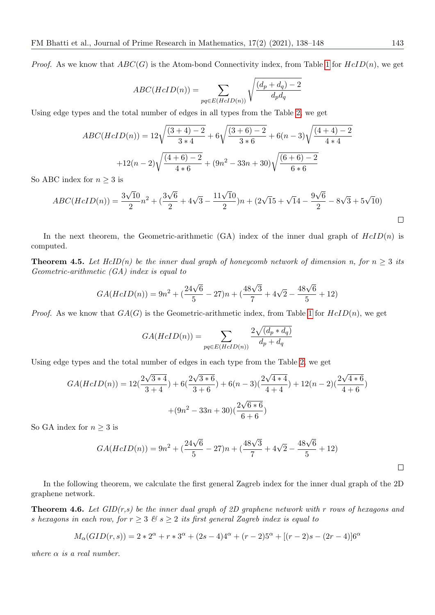*Proof.* As we know that  $ABC(G)$  is the Atom-bond Connectivity index, from Table [1](#page-1-0) for  $HcID(n)$ , we get

$$
ABC(HeID(n)) = \sum_{pq \in E(HeID(n))} \sqrt{\frac{(d_p + d_q) - 2}{d_p d_q}}
$$

Using edge types and the total number of edges in all types from the Table [2,](#page-1-1) we get

$$
ABC(HeID(n)) = 12\sqrt{\frac{(3+4)-2}{3*4}} + 6\sqrt{\frac{(3+6)-2}{3*6}} + 6(n-3)\sqrt{\frac{(4+4)-2}{4*4}}
$$

$$
+12(n-2)\sqrt{\frac{(4+6)-2}{4*6}} + (9n^2 - 33n + 30)\sqrt{\frac{(6+6)-2}{6*6}}
$$

So ABC index for  $n \geq 3$  is

$$
ABC(HcID(n)) = \frac{3\sqrt{10}}{2}n^2 + \left(\frac{3\sqrt{6}}{2} + 4\sqrt{3} - \frac{11\sqrt{10}}{2}\right)n + \left(2\sqrt{15} + \sqrt{14} - \frac{9\sqrt{6}}{2} - 8\sqrt{3} + 5\sqrt{10}\right)
$$

In the next theorem, the Geometric-arithmetic (GA) index of the inner dual graph of  $HcID(n)$  is computed.

**Theorem 4.5.** Let HcID(n) be the inner dual graph of honeycomb network of dimension n, for  $n \geq 3$  its Geometric-arithmetic (GA) index is equal to

$$
GA(HcID(n)) = 9n^2 + \left(\frac{24\sqrt{6}}{5} - 27\right)n + \left(\frac{48\sqrt{3}}{7} + 4\sqrt{2} - \frac{48\sqrt{6}}{5} + 12\right)
$$

*Proof.* As we know that  $GA(G)$  is the Geometric-arithmetic index, from Table [1](#page-1-0) for  $HcID(n)$ , we get

$$
GA(HcID(n)) = \sum_{pq \in E(HcID(n))} \frac{2\sqrt{(d_p * d_q)}}{d_p + d_q}
$$

Using edge types and the total number of edges in each type from the Table [2,](#page-1-1) we get

$$
GA(HcID(n)) = 12\left(\frac{2\sqrt{3*4}}{3+4}\right) + 6\left(\frac{2\sqrt{3*6}}{3+6}\right) + 6(n-3)\left(\frac{2\sqrt{4*4}}{4+4}\right) + 12(n-2)\left(\frac{2\sqrt{4*6}}{4+6}\right) + (9n^2 - 33n + 30)\left(\frac{2\sqrt{6*6}}{6+6}\right)
$$

So GA index for  $n \geq 3$  is

$$
GA(HcID(n)) = 9n^2 + \left(\frac{24\sqrt{6}}{5} - 27\right)n + \left(\frac{48\sqrt{3}}{7} + 4\sqrt{2} - \frac{48\sqrt{6}}{5} + 12\right)
$$

In the following theorem, we calculate the first general Zagreb index for the inner dual graph of the 2D graphene network.

**Theorem 4.6.** Let  $GID(r,s)$  be the inner dual graph of 2D graphene network with r rows of hexagons and s hexagons in each row, for  $r \geq 3$  &  $s \geq 2$  its first general Zagreb index is equal to

$$
M_{\alpha}(GID(r,s)) = 2 \times 2^{\alpha} + r \times 3^{\alpha} + (2s - 4)4^{\alpha} + (r - 2)5^{\alpha} + [(r - 2)s - (2r - 4)]6^{\alpha}
$$

where  $\alpha$  is a real number.

 $\Box$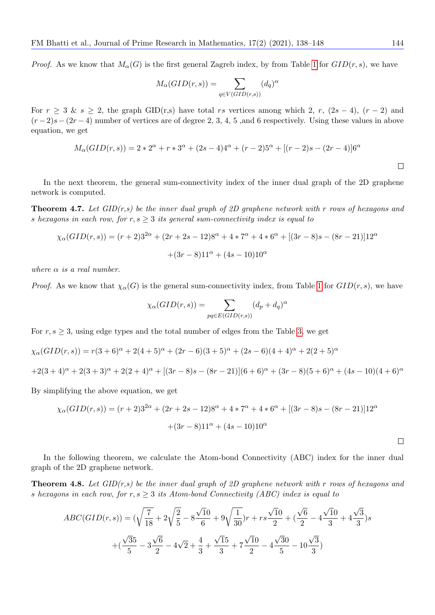*Proof.* As we know that  $M_{\alpha}(G)$  is the first general Zagreb index, by from Table [1](#page-1-0) for  $GID(r, s)$ , we have

$$
M_{\alpha}(GID(r, s)) = \sum_{q \in V(GID(r, s))} (d_q)^{\alpha}
$$

For  $r \geq 3$  &  $s \geq 2$ , the graph GID(r,s) have total rs vertices among which 2, r,  $(2s-4)$ ,  $(r-2)$  and  $(r-2)s-(2r-4)$  number of vertices are of degree 2, 3, 4, 5, and 6 respectively. Using these values in above equation, we get

$$
M_{\alpha}(GID(r, s)) = 2 \times 2^{\alpha} + r \times 3^{\alpha} + (2s - 4)4^{\alpha} + (r - 2)5^{\alpha} + [(r - 2)s - (2r - 4)]6^{\alpha}
$$

In the next theorem, the general sum-connectivity index of the inner dual graph of the 2D graphene network is computed.

**Theorem 4.7.** Let  $GID(r,s)$  be the inner dual graph of 2D graphene network with r rows of hexagons and s hexagons in each row, for  $r, s \geq 3$  its general sum-connectivity index is equal to

$$
\chi_{\alpha}(GID(r,s)) = (r+2)3^{2\alpha} + (2r+2s-12)8^{\alpha} + 4*7^{\alpha} + 4*6^{\alpha} + [(3r-8)s - (8r-21)]12^{\alpha} + (3r-8)11^{\alpha} + (4s-10)10^{\alpha}
$$

where  $\alpha$  is a real number.

*Proof.* As we know that  $\chi_{\alpha}(G)$  is the general sum-connectivity index, from Table [1](#page-1-0) for  $GID(r, s)$ , we have

$$
\chi_{\alpha}(GID(r, s)) = \sum_{pq \in E(GID(r, s))} (d_p + d_q)^{\alpha}
$$

For  $r, s \geq 3$ , using edge types and the total number of edges from the Table [3,](#page-3-0) we get

$$
\chi_{\alpha}(GID(r,s)) = r(3+6)^{\alpha} + 2(4+5)^{\alpha} + (2r-6)(3+5)^{\alpha} + (2s-6)(4+4)^{\alpha} + 2(2+5)^{\alpha}
$$
  
+2(3+4)^{\alpha} + 2(3+3)^{\alpha} + 2(2+4)^{\alpha} + [(3r-8)s - (8r-21)](6+6)^{\alpha} + (3r-8)(5+6)^{\alpha} + (4s-10)(4+6)^{\alpha}

By simplifying the above equation, we get

$$
\chi_{\alpha}(GID(r,s)) = (r+2)3^{2\alpha} + (2r+2s-12)8^{\alpha} + 4*7^{\alpha} + 4*6^{\alpha} + [(3r-8)s - (8r-21)]12^{\alpha} + (3r-8)11^{\alpha} + (4s-10)10^{\alpha}
$$

In the following theorem, we calculate the Atom-bond Connectivity (ABC) index for the inner dual graph of the 2D graphene network.

**Theorem 4.8.** Let  $GID(r,s)$  be the inner dual graph of 2D graphene network with r rows of hexagons and s hexagons in each row, for  $r, s \geq 3$  its Atom-bond Connectivity (ABC) index is equal to

$$
ABC(GID(r, s)) = (\sqrt{\frac{7}{18}} + 2\sqrt{\frac{2}{5}} - 8\frac{\sqrt{10}}{6} + 9\sqrt{\frac{1}{30}})r + rs\frac{\sqrt{10}}{2} + (\frac{\sqrt{6}}{2} - 4\frac{\sqrt{10}}{3} + 4\frac{\sqrt{3}}{3})s
$$

$$
+(\frac{\sqrt{35}}{5} - 3\frac{\sqrt{6}}{2} - 4\sqrt{2} + \frac{4}{3} + \frac{\sqrt{15}}{3} + 7\frac{\sqrt{10}}{2} - 4\frac{\sqrt{30}}{5} - 10\frac{\sqrt{3}}{3})
$$

 $\Box$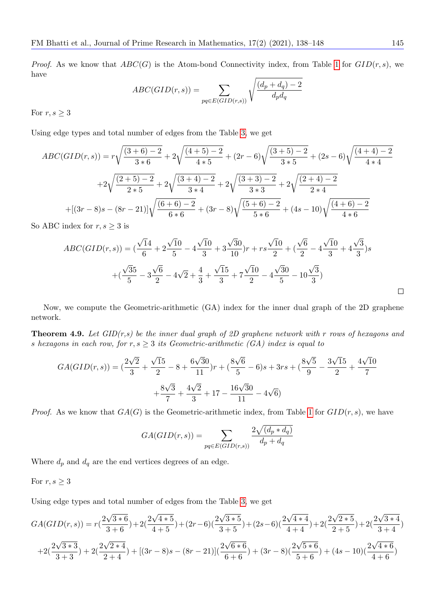*Proof.* As we know that  $ABC(G)$  is the Atom-bond Connectivity index, from Table [1](#page-1-0) for  $GID(r, s)$ , we have

$$
ABC(GID(r, s)) = \sum_{pq \in E(GID(r, s))} \sqrt{\frac{(d_p + d_q) - 2}{d_p d_q}}
$$

For  $r, s \geq 3$ 

Using edge types and total number of edges from the Table [3,](#page-3-0) we get

$$
ABC(GID(r,s)) = r\sqrt{\frac{(3+6)-2}{3*6}} + 2\sqrt{\frac{(4+5)-2}{4*5}} + (2r-6)\sqrt{\frac{(3+5)-2}{3*5}} + (2s-6)\sqrt{\frac{(4+4)-2}{4*4}}
$$

$$
+2\sqrt{\frac{(2+5)-2}{2*5}} + 2\sqrt{\frac{(3+4)-2}{3*4}} + 2\sqrt{\frac{(3+3)-2}{3*3}} + 2\sqrt{\frac{(2+4)-2}{2*4}}
$$

$$
+[(3r-8)s - (8r-21)]\sqrt{\frac{(6+6)-2}{6*6}} + (3r-8)\sqrt{\frac{(5+6)-2}{5*6}} + (4s-10)\sqrt{\frac{(4+6)-2}{4*6}}
$$
ABC index for  $r, s > 3$  is

So ABC index for  $r, s \geq 3$  is

$$
ABC(GID(r, s)) = \left(\frac{\sqrt{14}}{6} + 2\frac{\sqrt{10}}{5} - 4\frac{\sqrt{10}}{3} + 3\frac{\sqrt{30}}{10}\right)r + rs\frac{\sqrt{10}}{2} + \left(\frac{\sqrt{6}}{2} - 4\frac{\sqrt{10}}{3} + 4\frac{\sqrt{3}}{3}\right)s
$$

$$
+ \left(\frac{\sqrt{35}}{5} - 3\frac{\sqrt{6}}{2} - 4\sqrt{2} + \frac{4}{3} + \frac{\sqrt{15}}{3} + 7\frac{\sqrt{10}}{2} - 4\frac{\sqrt{30}}{5} - 10\frac{\sqrt{3}}{3}\right)
$$

Now, we compute the Geometric-arithmetic (GA) index for the inner dual graph of the 2D graphene network.

**Theorem 4.9.** Let  $GID(r,s)$  be the inner dual graph of 2D graphene network with r rows of hexagons and s hexagons in each row, for  $r, s \geq 3$  its Geometric-arithmetic (GA) index is equal to

$$
GA(GID(r, s)) = \left(\frac{2\sqrt{2}}{3} + \frac{\sqrt{15}}{2} - 8 + \frac{6\sqrt{30}}{11}\right)r + \left(\frac{8\sqrt{6}}{5} - 6\right)s + 3rs + \left(\frac{8\sqrt{5}}{9} - \frac{3\sqrt{15}}{2} + \frac{4\sqrt{10}}{7}\right) + \frac{8\sqrt{3}}{7} + \frac{4\sqrt{2}}{3} + 17 - \frac{16\sqrt{30}}{11} - 4\sqrt{6}
$$

*Proof.* As we know that  $GA(G)$  is the Geometric-arithmetic index, from Table [1](#page-1-0) for  $GID(r, s)$ , we have

$$
GA(GID(r, s)) = \sum_{pq \in E(GID(r, s))} \frac{2\sqrt{(d_p * d_q)}}{d_p + d_q}
$$

Where  $d_p$  and  $d_q$  are the end vertices degrees of an edge.

For  $r, s \geq 3$ 

Using edge types and total number of edges from the Table [3,](#page-3-0) we get

$$
GA(GID(r,s)) = r\left(\frac{2\sqrt{3*6}}{3+6}\right) + 2\left(\frac{2\sqrt{4*5}}{4+5}\right) + (2r-6)\left(\frac{2\sqrt{3*5}}{3+5}\right) + (2s-6)\left(\frac{2\sqrt{4*4}}{4+4}\right) + 2\left(\frac{2\sqrt{2*5}}{2+5}\right) + 2\left(\frac{2\sqrt{3*4}}{3+4}\right)
$$

$$
+ 2\left(\frac{2\sqrt{3*3}}{3+3}\right) + 2\left(\frac{2\sqrt{2*4}}{2+4}\right) + \left[(3r-8)s - (8r-21)\right]\left(\frac{2\sqrt{6*6}}{6+6}\right) + (3r-8)\left(\frac{2\sqrt{5*6}}{5+6}\right) + (4s-10)\left(\frac{2\sqrt{4*6}}{4+6}\right)
$$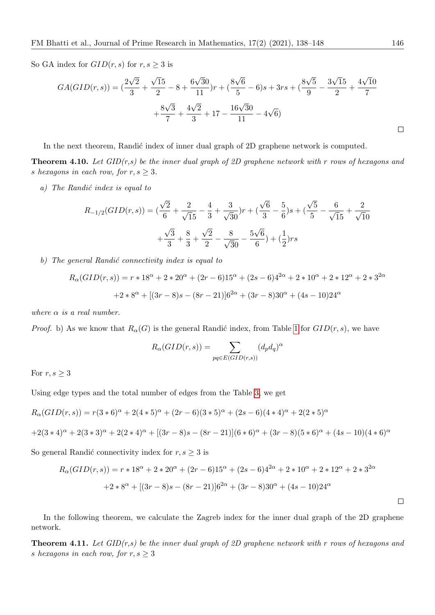So GA index for  $GID(r, s)$  for  $r, s \geq 3$  is

$$
GA(GID(r, s)) = \left(\frac{2\sqrt{2}}{3} + \frac{\sqrt{15}}{2} - 8 + \frac{6\sqrt{30}}{11}\right)r + \left(\frac{8\sqrt{6}}{5} - 6\right)s + 3rs + \left(\frac{8\sqrt{5}}{9} - \frac{3\sqrt{15}}{2} + \frac{4\sqrt{10}}{7} + \frac{8\sqrt{3}}{7} + \frac{4\sqrt{2}}{3} + 17 - \frac{16\sqrt{30}}{11} - 4\sqrt{6}\right)
$$

In the next theorem, Randić index of inner dual graph of 2D graphene network is computed.

**Theorem 4.10.** Let  $GID(r,s)$  be the inner dual graph of 2D graphene network with r rows of hexagons and s hexagons in each row, for  $r, s \geq 3$ .

 $a)$  The Randić index is equal to

$$
R_{-1/2}(GID(r,s)) = \left(\frac{\sqrt{2}}{6} + \frac{2}{\sqrt{15}} - \frac{4}{3} + \frac{3}{\sqrt{30}}\right)r + \left(\frac{\sqrt{6}}{3} - \frac{5}{6}\right)s + \left(\frac{\sqrt{5}}{5} - \frac{6}{\sqrt{15}} + \frac{2}{\sqrt{10}}\right) + \frac{\sqrt{3}}{3} + \frac{8}{3} + \frac{\sqrt{2}}{2} - \frac{8}{\sqrt{30}} - \frac{5\sqrt{6}}{6} + \left(\frac{1}{2}\right)rs
$$

b) The general Randić connectivity index is equal to

$$
R_{\alpha}(GID(r,s)) = r * 18^{\alpha} + 2 * 20^{\alpha} + (2r - 6)15^{\alpha} + (2s - 6)4^{2\alpha} + 2 * 10^{\alpha} + 2 * 12^{\alpha} + 2 * 3^{2\alpha}
$$

$$
+ 2 * 8^{\alpha} + [(3r - 8)s - (8r - 21)]6^{2\alpha} + (3r - 8)30^{\alpha} + (4s - 10)24^{\alpha}
$$

where  $\alpha$  is a real number.

*Proof.* b) As we know that  $R_{\alpha}(G)$  is the general Randić index, from Table [1](#page-1-0) for  $GID(r, s)$ , we have

$$
R_{\alpha}(GID(r, s)) = \sum_{pq \in E(GID(r, s))} (d_p d_q)^{\alpha}
$$

For  $r, s \geq 3$ 

Using edge types and the total number of edges from the Table [3,](#page-3-0) we get

$$
R_{\alpha}(GID(r,s)) = r(3 * 6)^{\alpha} + 2(4 * 5)^{\alpha} + (2r - 6)(3 * 5)^{\alpha} + (2s - 6)(4 * 4)^{\alpha} + 2(2 * 5)^{\alpha}
$$
  
+2(3 \* 4)^{\alpha} + 2(3 \* 3)^{\alpha} + 2(2 \* 4)^{\alpha} + [(3r - 8)s - (8r - 21)](6 \* 6)^{\alpha} + (3r - 8)(5 \* 6)^{\alpha} + (4s - 10)(4 \* 6)^{\alpha}

So general Randić connectivity index for  $r, s \geq 3$  is

$$
R_{\alpha}(GID(r,s)) = r * 18^{\alpha} + 2 * 20^{\alpha} + (2r - 6)15^{\alpha} + (2s - 6)4^{2\alpha} + 2 * 10^{\alpha} + 2 * 12^{\alpha} + 2 * 3^{2\alpha}
$$

$$
+ 2 * 8^{\alpha} + [(3r - 8)s - (8r - 21)]6^{2\alpha} + (3r - 8)30^{\alpha} + (4s - 10)24^{\alpha}
$$

In the following theorem, we calculate the Zagreb index for the inner dual graph of the 2D graphene network.

**Theorem 4.11.** Let  $GID(r,s)$  be the inner dual graph of 2D graphene network with r rows of hexagons and s hexagons in each row, for  $r, s \geq 3$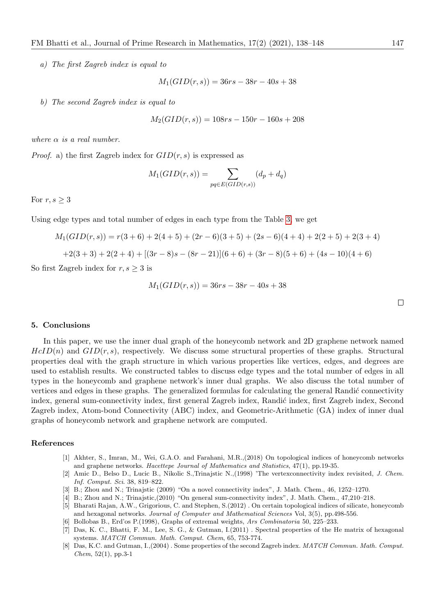a) The first Zagreb index is equal to

$$
M_1(GID(r, s)) = 36rs - 38r - 40s + 38
$$

b) The second Zagreb index is equal to

$$
M_2(GID(r, s)) = 108rs - 150r - 160s + 208
$$

where  $\alpha$  is a real number.

*Proof.* a) the first Zagreb index for  $GID(r, s)$  is expressed as

$$
M_1(GID(r, s)) = \sum_{pq \in E(GID(r, s))} (d_p + d_q)
$$

For  $r, s \geq 3$ 

Using edge types and total number of edges in each type from the Table [3,](#page-3-0) we get

$$
M_1(GID(r, s)) = r(3+6) + 2(4+5) + (2r - 6)(3+5) + (2s - 6)(4+4) + 2(2+5) + 2(3+4)
$$
  
+2(3+3) + 2(2+4) + [(3r - 8)s - (8r - 21)](6+6) + (3r - 8)(5+6) + (4s - 10)(4+6)

So first Zagreb index for  $r, s \geq 3$  is

$$
M_1(GID(r, s)) = 36rs - 38r - 40s + 38
$$

 $\Box$ 

#### 5. Conclusions

In this paper, we use the inner dual graph of the honeycomb network and 2D graphene network named  $HcID(n)$  and  $GID(r, s)$ , respectively. We discuss some structural properties of these graphs. Structural properties deal with the graph structure in which various properties like vertices, edges, and degrees are used to establish results. We constructed tables to discuss edge types and the total number of edges in all types in the honeycomb and graphene network's inner dual graphs. We also discuss the total number of vertices and edges in these graphs. The generalized formulas for calculating the general Randić connectivity index, general sum-connectivity index, first general Zagreb index, Randić index, first Zagreb index, Second Zagreb index, Atom-bond Connectivity (ABC) index, and Geometric-Arithmetic (GA) index of inner dual graphs of honeycomb network and graphene network are computed.

#### References

- <span id="page-9-3"></span>[1] Akhter, S., Imran, M., Wei, G.A.O. and Farahani, M.R.,(2018) On topological indices of honeycomb networks and graphene networks. Hacettepe Journal of Mathematics and Statistics, 47(1), pp.19-35.
- [2] Amic D., Belso D., Lucic B., Nikolic S.,Trinajstic N.,(1998) 'The vertexconnectivity index revisited, J. Chem. Inf. Comput. Sci. 38, 819–822.
- [3] B.; Zhou and N.; Trinajstic (2009) "On a novel connectivity index", J. Math. Chem., 46, 1252–1270.
- <span id="page-9-2"></span>[4] B.; Zhou and N.; Trinajstic,(2010) "On general sum-connectivity index", J. Math. Chem., 47,210–218.
- <span id="page-9-4"></span>[5] Bharati Rajan, A.W., Grigorious, C. and Stephen, S.(2012) . On certain topological indices of silicate, honeycomb and hexagonal networks. Journal of Computer and Mathematical Sciences Vol, 3(5), pp.498-556.
- <span id="page-9-1"></span>[6] Bollobas B., Erd'os P.(1998), Graphs of extremal weights, Ars Combinatoria 50, 225–233.
- [7] Das, K. C., Bhatti, F. M., Lee, S. G., & Gutman, I.(2011) . Spectral properties of the He matrix of hexagonal systems. MATCH Commun. Math. Comput. Chem, 65, 753-774.
- <span id="page-9-0"></span>[8] Das, K.C. and Gutman, I.,(2004) . Some properties of the second Zagreb index. MATCH Commun. Math. Comput.  $Chem, 52(1), pp.3-1$